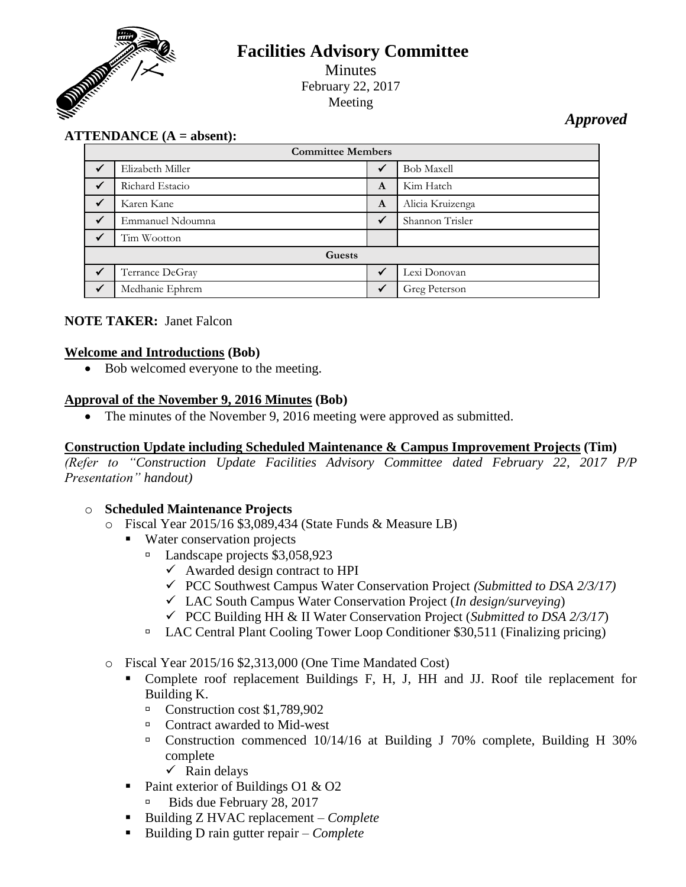

# **Facilities Advisory Committee** Minutes

February 22, 2017 Meeting

*Approved*

## **ATTENDANCE (A = absent):**

| <b>Committee Members</b> |                  |              |                   |
|--------------------------|------------------|--------------|-------------------|
| $\checkmark$             | Elizabeth Miller | $\checkmark$ | <b>Bob Maxell</b> |
| ✓                        | Richard Estacio  | A            | Kim Hatch         |
|                          | Karen Kane       | A            | Alicia Kruizenga  |
|                          | Emmanuel Ndoumna | $\checkmark$ | Shannon Trisler   |
| $\checkmark$             | Tim Wootton      |              |                   |
| Guests                   |                  |              |                   |
|                          | Terrance DeGray  | ✓            | Lexi Donovan      |
|                          | Medhanie Ephrem  | $\checkmark$ | Greg Peterson     |

#### **NOTE TAKER:** Janet Falcon

#### **Welcome and Introductions (Bob)**

• Bob welcomed everyone to the meeting.

#### **Approval of the November 9, 2016 Minutes (Bob)**

• The minutes of the November 9, 2016 meeting were approved as submitted.

#### **Construction Update including Scheduled Maintenance & Campus Improvement Projects (Tim)**

*(Refer to "Construction Update Facilities Advisory Committee dated February 22, 2017 P/P Presentation" handout)*

#### o **Scheduled Maintenance Projects**

- o Fiscal Year 2015/16 \$3,089,434 (State Funds & Measure LB)
	- Water conservation projects
		- $\Box$  Landscape projects \$3,058,923
			- $\checkmark$  Awarded design contract to HPI
			- PCC Southwest Campus Water Conservation Project *(Submitted to DSA 2/3/17)*
			- LAC South Campus Water Conservation Project (*In design/surveying*)
			- PCC Building HH & II Water Conservation Project (*Submitted to DSA 2/3/17*)
		- □ LAC Central Plant Cooling Tower Loop Conditioner \$30,511 (Finalizing pricing)
- o Fiscal Year 2015/16 \$2,313,000 (One Time Mandated Cost)
	- Complete roof replacement Buildings F, H, J, HH and JJ. Roof tile replacement for Building K.
		- Construction cost \$1,789,902
		- □ Contract awarded to Mid-west
		- Construction commenced 10/14/16 at Building J 70% complete, Building H 30% complete
			- $\checkmark$  Rain delays
	- Paint exterior of Buildings O1  $\&$  O2
		- Bids due February 28, 2017
	- Building Z HVAC replacement *Complete*
	- Building D rain gutter repair *Complete*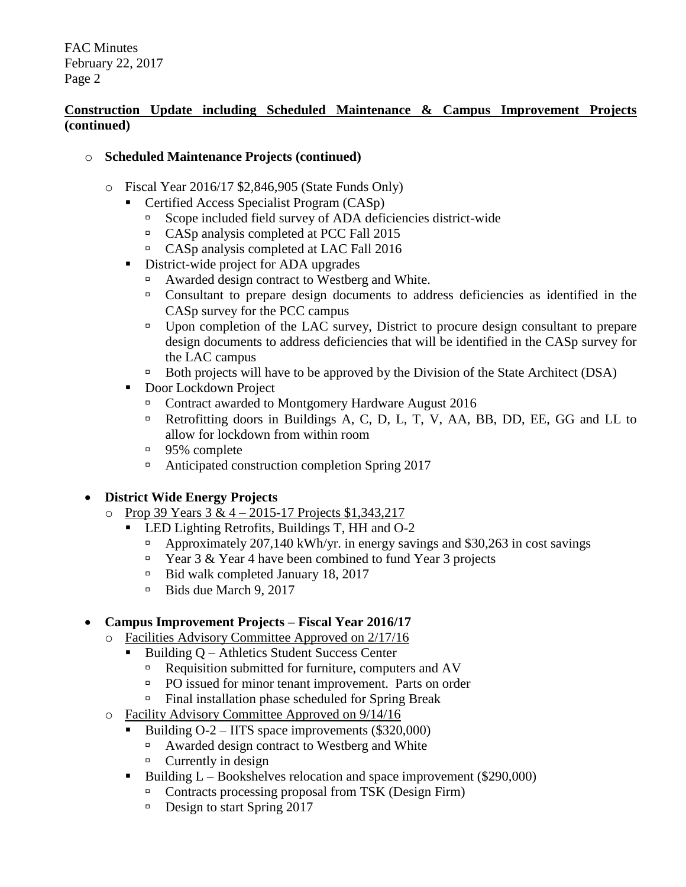### **Construction Update including Scheduled Maintenance & Campus Improvement Projects (continued)**

### o **Scheduled Maintenance Projects (continued)**

- o Fiscal Year 2016/17 \$2,846,905 (State Funds Only)
	- Certified Access Specialist Program (CASp)
		- Scope included field survey of ADA deficiencies district-wide
		- <sup>n</sup> CASp analysis completed at PCC Fall 2015
		- CASp analysis completed at LAC Fall 2016
	- District-wide project for ADA upgrades
		- Awarded design contract to Westberg and White.
		- Consultant to prepare design documents to address deficiencies as identified in the CASp survey for the PCC campus
		- □ Upon completion of the LAC survey, District to procure design consultant to prepare design documents to address deficiencies that will be identified in the CASp survey for the LAC campus
		- $\Box$  Both projects will have to be approved by the Division of the State Architect (DSA)
	- Door Lockdown Project
		- □ Contract awarded to Montgomery Hardware August 2016
		- <sup>n</sup> Retrofitting doors in Buildings A, C, D, L, T, V, AA, BB, DD, EE, GG and LL to allow for lockdown from within room
		- <sup>95%</sup> complete
		- □ Anticipated construction completion Spring 2017

## **District Wide Energy Projects**

- o Prop 39 Years  $3 & 4 2015 17$  Projects \$1,343,217
	- **LED Lighting Retrofits, Buildings T, HH and O-2** 
		- Approximately 207,140 kWh/yr. in energy savings and \$30,263 in cost savings
		- $\Box$  Year 3 & Year 4 have been combined to fund Year 3 projects
		- □ Bid walk completed January 18, 2017
		- Bids due March 9, 2017

## **Campus Improvement Projects – Fiscal Year 2016/17**

- o Facilities Advisory Committee Approved on 2/17/16
	- Building Q Athletics Student Success Center
		- **Requisition submitted for furniture, computers and AV**
		- **PO** issued for minor tenant improvement. Parts on order
		- □ Final installation phase scheduled for Spring Break
- o Facility Advisory Committee Approved on 9/14/16
	- Building O-2 IITS space improvements (\$320,000)
		- Awarded design contract to Westberg and White
		- $\Box$  Currently in design
	- Building  $L \text{Bookshelves}$  relocation and space improvement (\$290,000)
		- Contracts processing proposal from TSK (Design Firm)
		- $\Box$  Design to start Spring 2017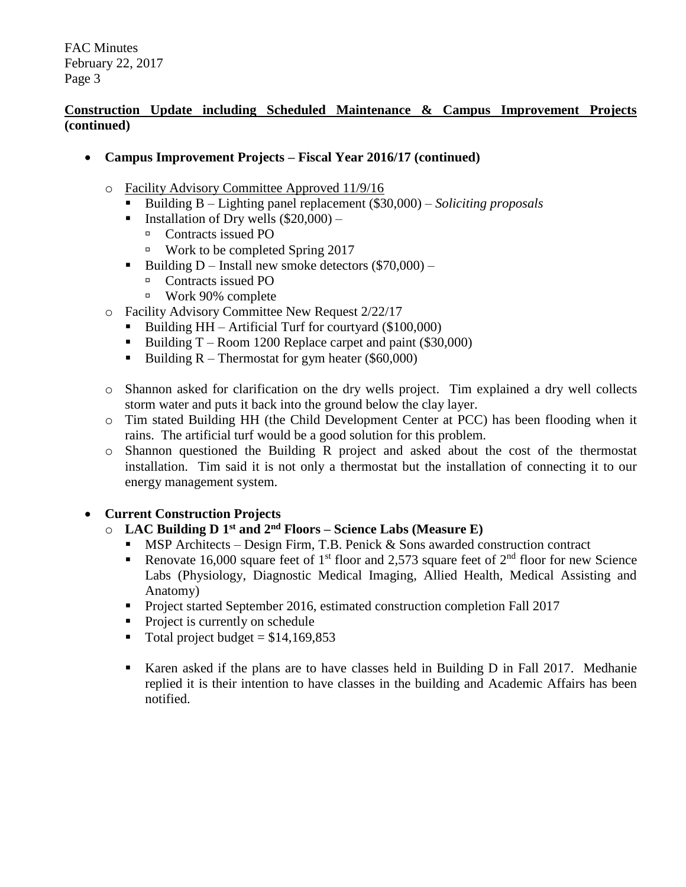### **Construction Update including Scheduled Maintenance & Campus Improvement Projects (continued)**

- **Campus Improvement Projects – Fiscal Year 2016/17 (continued)**
	- o Facility Advisory Committee Approved 11/9/16
		- Building B Lighting panel replacement (\$30,000) *Soliciting proposals*
		- **Installation of Dry wells (\$20,000)**
			- □ Contracts issued PO
			- $\textdegree$  Work to be completed Spring 2017
		- Building D Install new smoke detectors  $(\$70,000)$ 
			- □ Contracts issued PO
			- Work 90% complete
	- o Facility Advisory Committee New Request 2/22/17
		- Building  $HH Artificial$  Turf for courtyard (\$100,000)
		- Building  $T -$ Room 1200 Replace carpet and paint (\$30,000)
		- Building  $R$  Thermostat for gym heater (\$60,000)
	- o Shannon asked for clarification on the dry wells project. Tim explained a dry well collects storm water and puts it back into the ground below the clay layer.
	- o Tim stated Building HH (the Child Development Center at PCC) has been flooding when it rains. The artificial turf would be a good solution for this problem.
	- o Shannon questioned the Building R project and asked about the cost of the thermostat installation. Tim said it is not only a thermostat but the installation of connecting it to our energy management system.

#### **Current Construction Projects**

#### o **LAC Building D 1 st and 2nd Floors – Science Labs (Measure E)**

- MSP Architects Design Firm, T.B. Penick & Sons awarded construction contract
- Renovate 16,000 square feet of 1<sup>st</sup> floor and 2,573 square feet of  $2<sup>nd</sup>$  floor for new Science Labs (Physiology, Diagnostic Medical Imaging, Allied Health, Medical Assisting and Anatomy)
- Project started September 2016, estimated construction completion Fall 2017
- Project is currently on schedule
- $\blacksquare$  Total project budget = \$14,169,853
- Karen asked if the plans are to have classes held in Building D in Fall 2017. Medhanie replied it is their intention to have classes in the building and Academic Affairs has been notified.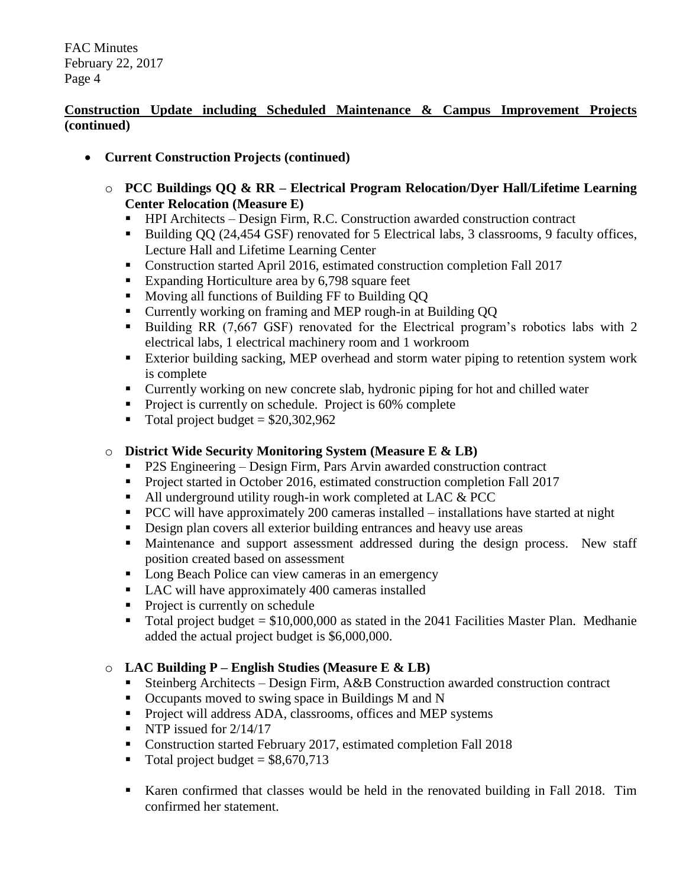### **Construction Update including Scheduled Maintenance & Campus Improvement Projects (continued)**

- **Current Construction Projects (continued)**
	- o **PCC Buildings QQ & RR – Electrical Program Relocation/Dyer Hall/Lifetime Learning Center Relocation (Measure E)**
		- HPI Architects Design Firm, R.C. Construction awarded construction contract
		- Building QQ (24,454 GSF) renovated for 5 Electrical labs, 3 classrooms, 9 faculty offices, Lecture Hall and Lifetime Learning Center
		- Construction started April 2016, estimated construction completion Fall 2017
		- Expanding Horticulture area by 6,798 square feet
		- Moving all functions of Building FF to Building QQ
		- Currently working on framing and MEP rough-in at Building QQ
		- Building RR (7,667 GSF) renovated for the Electrical program's robotics labs with 2 electrical labs, 1 electrical machinery room and 1 workroom
		- Exterior building sacking, MEP overhead and storm water piping to retention system work is complete
		- Currently working on new concrete slab, hydronic piping for hot and chilled water
		- Project is currently on schedule. Project is 60% complete
		- $\blacksquare$  Total project budget = \$20,302,962

### o **District Wide Security Monitoring System (Measure E & LB)**

- P2S Engineering Design Firm, Pars Arvin awarded construction contract
- Project started in October 2016, estimated construction completion Fall 2017
- All underground utility rough-in work completed at LAC & PCC
- **PCC** will have approximately 200 cameras installed installations have started at night
- Design plan covers all exterior building entrances and heavy use areas
- Maintenance and support assessment addressed during the design process. New staff position created based on assessment
- Long Beach Police can view cameras in an emergency
- LAC will have approximately 400 cameras installed
- Project is currently on schedule
- Total project budget =  $$10,000,000$  as stated in the 2041 Facilities Master Plan. Medhanie added the actual project budget is \$6,000,000.

## o **LAC Building P – English Studies (Measure E & LB)**

- Steinberg Architects Design Firm, A&B Construction awarded construction contract
- Occupants moved to swing space in Buildings M and N
- **Project will address ADA, classrooms, offices and MEP systems**
- NTP issued for  $2/14/17$
- Construction started February 2017, estimated completion Fall 2018
- $\blacksquare$  Total project budget = \$8,670,713
- Karen confirmed that classes would be held in the renovated building in Fall 2018. Tim confirmed her statement.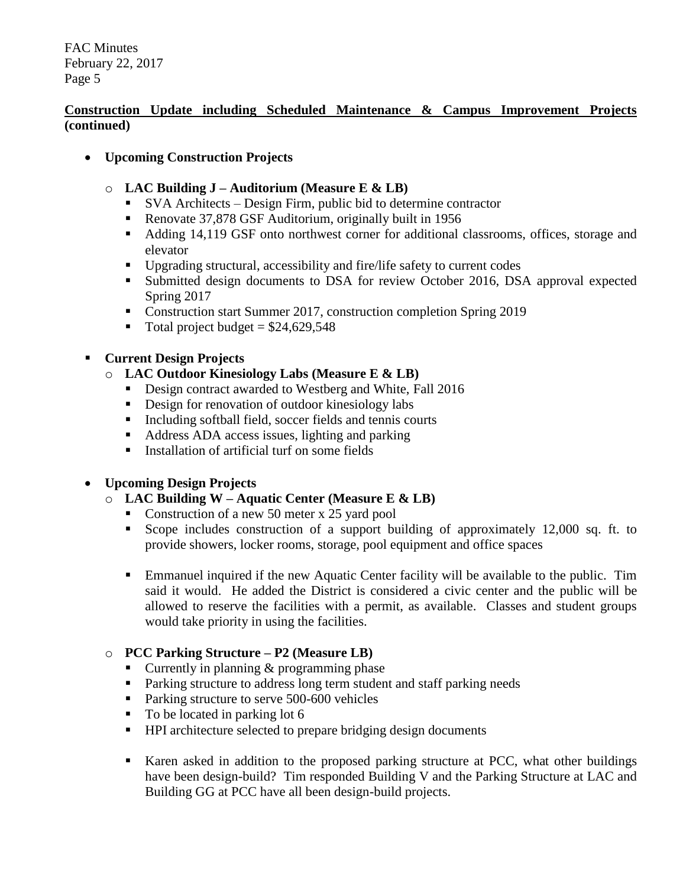### **Construction Update including Scheduled Maintenance & Campus Improvement Projects (continued)**

- **Upcoming Construction Projects**
	- o **LAC Building J – Auditorium (Measure E & LB)**
		- SVA Architects Design Firm, public bid to determine contractor
		- Renovate 37,878 GSF Auditorium, originally built in 1956
		- Adding 14,119 GSF onto northwest corner for additional classrooms, offices, storage and elevator
		- Upgrading structural, accessibility and fire/life safety to current codes
		- **Submitted design documents to DSA for review October 2016, DSA approval expected** Spring 2017
		- Construction start Summer 2017, construction completion Spring 2019
		- Total project budget =  $$24,629,548$

### **Current Design Projects**

- o **LAC Outdoor Kinesiology Labs (Measure E & LB)**
	- Design contract awarded to Westberg and White, Fall 2016
	- Design for renovation of outdoor kinesiology labs
	- Including softball field, soccer fields and tennis courts
	- Address ADA access issues, lighting and parking
	- Installation of artificial turf on some fields

## **Upcoming Design Projects**

- o **LAC Building W – Aquatic Center (Measure E & LB)**
	- Construction of a new 50 meter x 25 yard pool
	- Scope includes construction of a support building of approximately 12,000 sq. ft. to provide showers, locker rooms, storage, pool equipment and office spaces
	- Emmanuel inquired if the new Aquatic Center facility will be available to the public. Tim said it would. He added the District is considered a civic center and the public will be allowed to reserve the facilities with a permit, as available. Classes and student groups would take priority in using the facilities.

## o **PCC Parking Structure – P2 (Measure LB)**

- Currently in planning  $&$  programming phase
- **Parking structure to address long term student and staff parking needs**
- Parking structure to serve 500-600 vehicles
- $\blacksquare$  To be located in parking lot 6
- HPI architecture selected to prepare bridging design documents
- Karen asked in addition to the proposed parking structure at PCC, what other buildings have been design-build? Tim responded Building V and the Parking Structure at LAC and Building GG at PCC have all been design-build projects.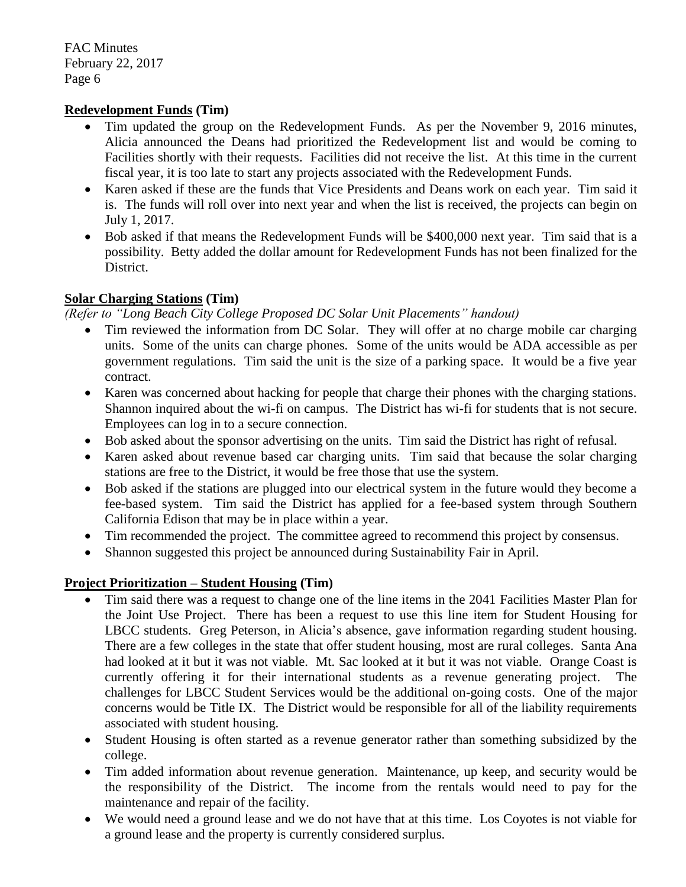#### **Redevelopment Funds (Tim)**

- Tim updated the group on the Redevelopment Funds. As per the November 9, 2016 minutes, Alicia announced the Deans had prioritized the Redevelopment list and would be coming to Facilities shortly with their requests. Facilities did not receive the list. At this time in the current fiscal year, it is too late to start any projects associated with the Redevelopment Funds.
- Karen asked if these are the funds that Vice Presidents and Deans work on each year. Tim said it is. The funds will roll over into next year and when the list is received, the projects can begin on July 1, 2017.
- Bob asked if that means the Redevelopment Funds will be \$400,000 next year. Tim said that is a possibility. Betty added the dollar amount for Redevelopment Funds has not been finalized for the District.

#### **Solar Charging Stations (Tim)**

*(Refer to "Long Beach City College Proposed DC Solar Unit Placements" handout)*

- Tim reviewed the information from DC Solar. They will offer at no charge mobile car charging units. Some of the units can charge phones. Some of the units would be ADA accessible as per government regulations. Tim said the unit is the size of a parking space. It would be a five year contract.
- Karen was concerned about hacking for people that charge their phones with the charging stations. Shannon inquired about the wi-fi on campus. The District has wi-fi for students that is not secure. Employees can log in to a secure connection.
- Bob asked about the sponsor advertising on the units. Tim said the District has right of refusal.
- Karen asked about revenue based car charging units. Tim said that because the solar charging stations are free to the District, it would be free those that use the system.
- Bob asked if the stations are plugged into our electrical system in the future would they become a fee-based system. Tim said the District has applied for a fee-based system through Southern California Edison that may be in place within a year.
- Tim recommended the project. The committee agreed to recommend this project by consensus.
- Shannon suggested this project be announced during Sustainability Fair in April.

#### **Project Prioritization – Student Housing (Tim)**

- Tim said there was a request to change one of the line items in the 2041 Facilities Master Plan for the Joint Use Project. There has been a request to use this line item for Student Housing for LBCC students. Greg Peterson, in Alicia's absence, gave information regarding student housing. There are a few colleges in the state that offer student housing, most are rural colleges. Santa Ana had looked at it but it was not viable. Mt. Sac looked at it but it was not viable. Orange Coast is currently offering it for their international students as a revenue generating project. challenges for LBCC Student Services would be the additional on-going costs. One of the major concerns would be Title IX. The District would be responsible for all of the liability requirements associated with student housing.
- Student Housing is often started as a revenue generator rather than something subsidized by the college.
- Tim added information about revenue generation. Maintenance, up keep, and security would be the responsibility of the District. The income from the rentals would need to pay for the maintenance and repair of the facility.
- We would need a ground lease and we do not have that at this time. Los Coyotes is not viable for a ground lease and the property is currently considered surplus.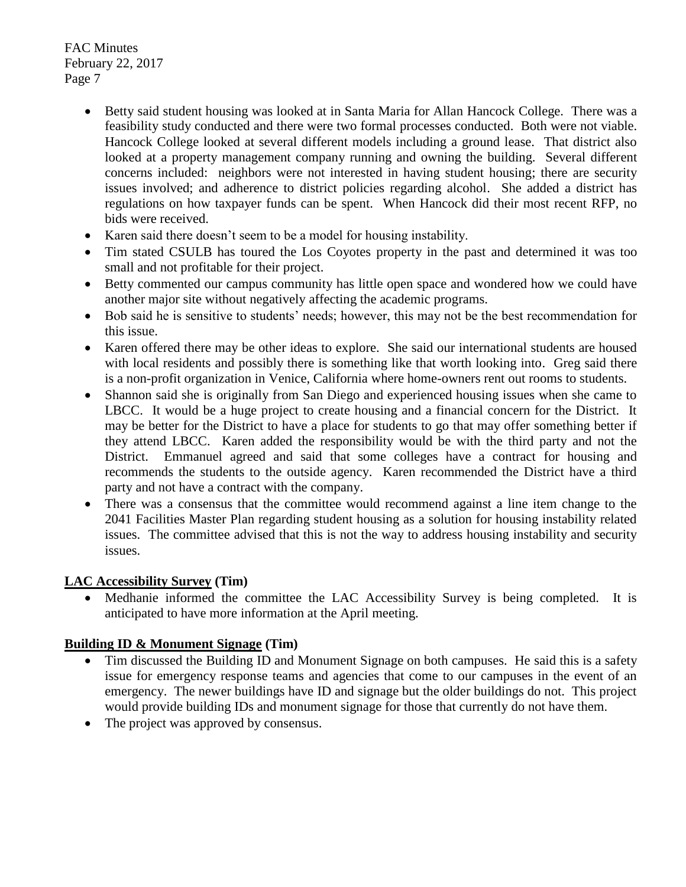- Betty said student housing was looked at in Santa Maria for Allan Hancock College. There was a feasibility study conducted and there were two formal processes conducted. Both were not viable. Hancock College looked at several different models including a ground lease. That district also looked at a property management company running and owning the building. Several different concerns included: neighbors were not interested in having student housing; there are security issues involved; and adherence to district policies regarding alcohol. She added a district has regulations on how taxpayer funds can be spent. When Hancock did their most recent RFP, no bids were received.
- Karen said there doesn't seem to be a model for housing instability.
- Tim stated CSULB has toured the Los Coyotes property in the past and determined it was too small and not profitable for their project.
- Betty commented our campus community has little open space and wondered how we could have another major site without negatively affecting the academic programs.
- Bob said he is sensitive to students' needs; however, this may not be the best recommendation for this issue.
- Karen offered there may be other ideas to explore. She said our international students are housed with local residents and possibly there is something like that worth looking into. Greg said there is a non-profit organization in Venice, California where home-owners rent out rooms to students.
- Shannon said she is originally from San Diego and experienced housing issues when she came to LBCC. It would be a huge project to create housing and a financial concern for the District. It may be better for the District to have a place for students to go that may offer something better if they attend LBCC. Karen added the responsibility would be with the third party and not the District. Emmanuel agreed and said that some colleges have a contract for housing and recommends the students to the outside agency. Karen recommended the District have a third party and not have a contract with the company.
- There was a consensus that the committee would recommend against a line item change to the 2041 Facilities Master Plan regarding student housing as a solution for housing instability related issues. The committee advised that this is not the way to address housing instability and security issues.

#### **LAC Accessibility Survey (Tim)**

 Medhanie informed the committee the LAC Accessibility Survey is being completed. It is anticipated to have more information at the April meeting.

#### **Building ID & Monument Signage (Tim)**

- Tim discussed the Building ID and Monument Signage on both campuses. He said this is a safety issue for emergency response teams and agencies that come to our campuses in the event of an emergency. The newer buildings have ID and signage but the older buildings do not. This project would provide building IDs and monument signage for those that currently do not have them.
- The project was approved by consensus.